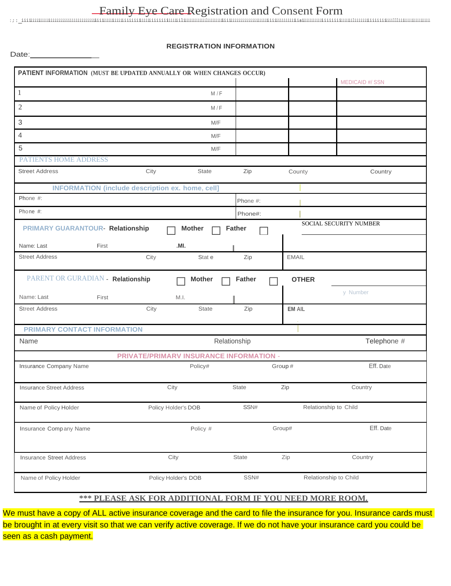## Family Eye Care Registration and Consent Form

**:;:\_iiiiiiiiiiiiiiiiiiiiiiiiiiiiiiiiiiiiiiiiiiiiiiiiiiiiiiiiiiiiiiiiiiiiiiiiiiiiiiiiiiiliiiiiiiiiiiiiiliiiiiiiiiiiiiiiiiiiiiiiiiiiiiiiiiiiiiiiiiiiiiiiiiaiiiiiiiiiiiiiiiiiiiiiiiiiiiiiliiiiiiiiiiiiiiiiiiillliiiiiiiiiiiiiiiiiiiiii**

Date: \_

## **REGISTRATION INFORMATION**

|                                              | PATIENT INFORMATION (MUST BE UPDATED ANNUALLY OR WHEN CHANGES OCCUR) |               |               |                        |
|----------------------------------------------|----------------------------------------------------------------------|---------------|---------------|------------------------|
|                                              |                                                                      |               |               | <b>MEDICAID #/ SSN</b> |
| $\mathbf{1}$                                 | M/F                                                                  |               |               |                        |
| $\mathbf{2}$                                 | M/F                                                                  |               |               |                        |
| 3                                            | M/F                                                                  |               |               |                        |
| 4                                            | M/F                                                                  |               |               |                        |
| 5                                            | M/F                                                                  |               |               |                        |
| <b>PATIENTS HOME ADDRESS</b>                 |                                                                      |               |               |                        |
| <b>Street Address</b>                        | City<br><b>State</b>                                                 | Zip           | County        | Country                |
|                                              | <b>INFORMATION (include description ex. home, cell)</b>              |               |               |                        |
| Phone #:                                     |                                                                      | Phone #:      |               |                        |
| Phone #:                                     |                                                                      | Phone#:       |               |                        |
| PRIMARY GUARANTOUR- Relationship             | <b>Mother</b>                                                        | <b>Father</b> |               | SOCIAL SECURITY NUMBER |
|                                              |                                                                      |               |               |                        |
| Name: Last<br>First<br><b>Street Address</b> | .MI.<br>City<br>Stat e                                               | Zip           | <b>EMAIL</b>  |                        |
|                                              |                                                                      |               |               |                        |
| PARENT OR GURADIAN - Relationship            | <b>Mother</b>                                                        | <b>Father</b> | <b>OTHER</b>  |                        |
| Name: Last                                   |                                                                      |               |               | y Number               |
| First<br><b>Street Address</b>               | M.I.<br>City<br><b>State</b>                                         | Zip           | <b>EM AIL</b> |                        |
|                                              |                                                                      |               |               |                        |
| PRIMARY CONTACT INFORMATION                  |                                                                      |               |               |                        |
| Name                                         |                                                                      | Relationship  |               | Telephone #            |
|                                              | <b>PRIVATE/PRIMARV INSURANCE INFORMATION -</b>                       |               |               |                        |
| Insurance Company Name                       | Policy#                                                              |               | Group#        | Eff. Date              |
| <b>Insurance Street Address</b>              | City                                                                 | <b>State</b>  | Zip           | Country                |
| Name of Policy Holder                        | Policy Holder's DOB                                                  | SSN#          |               | Relationship to Child  |
|                                              |                                                                      |               |               |                        |
| Insurance Company Name                       | Policy #                                                             |               | Group#        | Eff. Date              |
| <b>Insurance Street Address</b>              | City                                                                 | State         | Zip           | Country                |
| Name of Policy Holder                        | Policy Holder's DOB                                                  | SSN#          |               | Relationship to Child  |

## **\*\*\* PLEASE ASK FOR ADDITIONAL FORM IF YOU NEED MORE ROOM.**

We must have a copy of ALL active insurance coverage and the card to file the insurance for you. Insurance cards must be brought in at every visit so that we can verify active coverage. If we do not have your insurance card you could be seen as a cash payment.